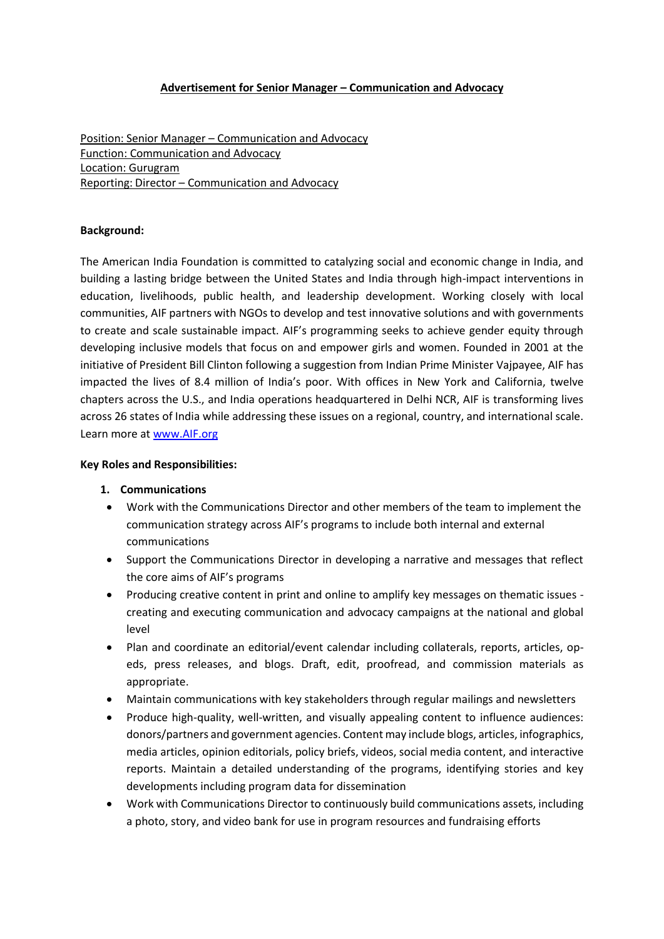## **Advertisement for Senior Manager – Communication and Advocacy**

Position: Senior Manager – Communication and Advocacy Function: Communication and Advocacy Location: Gurugram Reporting: Director – Communication and Advocacy

## **Background:**

The American India Foundation is committed to catalyzing social and economic change in India, and building a lasting bridge between the United States and India through high-impact interventions in education, livelihoods, public health, and leadership development. Working closely with local communities, AIF partners with NGOs to develop and test innovative solutions and with governments to create and scale sustainable impact. AIF's programming seeks to achieve gender equity through developing inclusive models that focus on and empower girls and women. Founded in 2001 at the initiative of President Bill Clinton following a suggestion from Indian Prime Minister Vajpayee, AIF has impacted the lives of 8.4 million of India's poor. With offices in New York and California, twelve chapters across the U.S., and India operations headquartered in Delhi NCR, AIF is transforming lives across 26 states of India while addressing these issues on a regional, country, and international scale. Learn more at [www.AIF.org](http://www.aif.org/)

# **Key Roles and Responsibilities:**

## **1. Communications**

- Work with the Communications Director and other members of the team to implement the communication strategy across AIF's programs to include both internal and external communications
- Support the Communications Director in developing a narrative and messages that reflect the core aims of AIF's programs
- Producing creative content in print and online to amplify key messages on thematic issues creating and executing communication and advocacy campaigns at the national and global level
- Plan and coordinate an editorial/event calendar including collaterals, reports, articles, opeds, press releases, and blogs. Draft, edit, proofread, and commission materials as appropriate.
- Maintain communications with key stakeholders through regular mailings and newsletters
- Produce high-quality, well-written, and visually appealing content to influence audiences: donors/partners and government agencies. Content may include blogs, articles, infographics, media articles, opinion editorials, policy briefs, videos, social media content, and interactive reports. Maintain a detailed understanding of the programs, identifying stories and key developments including program data for dissemination
- Work with Communications Director to continuously build communications assets, including a photo, story, and video bank for use in program resources and fundraising efforts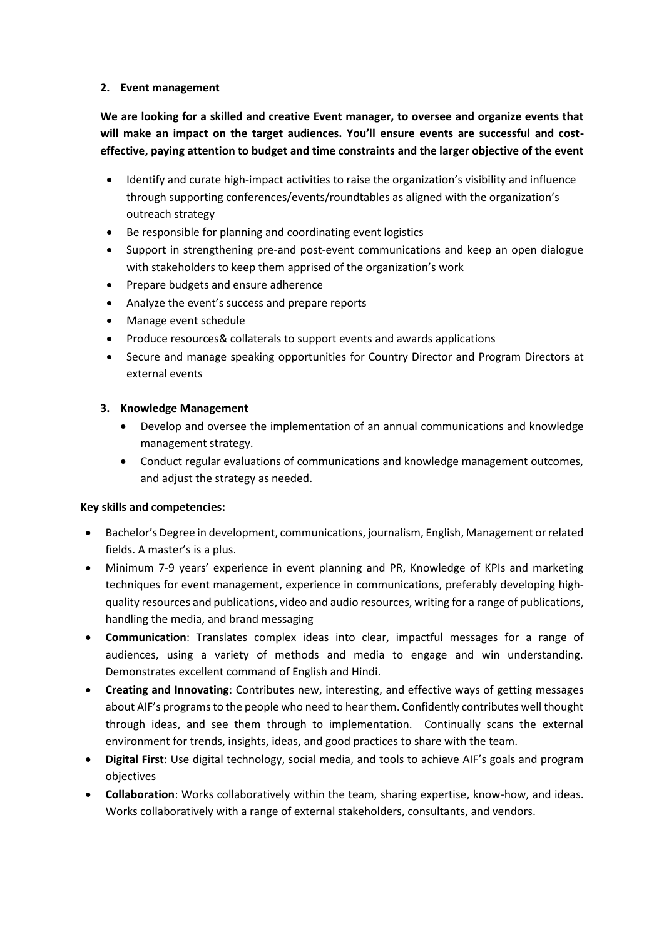# **2. Event management**

**We are looking for a skilled and creative Event manager, to oversee and organize events that will make an impact on the target audiences. You'll ensure events are successful and costeffective, paying attention to budget and time constraints and the larger objective of the event**

- Identify and curate high-impact activities to raise the organization's visibility and influence through supporting conferences/events/roundtables as aligned with the organization's outreach strategy
- Be responsible for planning and coordinating event logistics
- Support in strengthening pre-and post-event communications and keep an open dialogue with stakeholders to keep them apprised of the organization's work
- Prepare budgets and ensure adherence
- Analyze the event's success and prepare reports
- Manage event schedule
- Produce resources& collaterals to support events and awards applications
- Secure and manage speaking opportunities for Country Director and Program Directors at external events

# **3. Knowledge Management**

- Develop and oversee the implementation of an annual communications and knowledge management strategy.
- Conduct regular evaluations of communications and knowledge management outcomes, and adjust the strategy as needed.

## **Key skills and competencies:**

- Bachelor's Degree in development, communications, journalism, English, Management or related fields. A master's is a plus.
- Minimum 7-9 years' experience in event planning and PR, Knowledge of KPIs and marketing techniques for event management, experience in communications, preferably developing highquality resources and publications, video and audio resources, writing for a range of publications, handling the media, and brand messaging
- **Communication**: Translates complex ideas into clear, impactful messages for a range of audiences, using a variety of methods and media to engage and win understanding. Demonstrates excellent command of English and Hindi.
- **Creating and Innovating**: Contributes new, interesting, and effective ways of getting messages about AIF's programs to the people who need to hear them. Confidently contributes well thought through ideas, and see them through to implementation. Continually scans the external environment for trends, insights, ideas, and good practices to share with the team.
- **Digital First**: Use digital technology, social media, and tools to achieve AIF's goals and program objectives
- **Collaboration**: Works collaboratively within the team, sharing expertise, know-how, and ideas. Works collaboratively with a range of external stakeholders, consultants, and vendors.